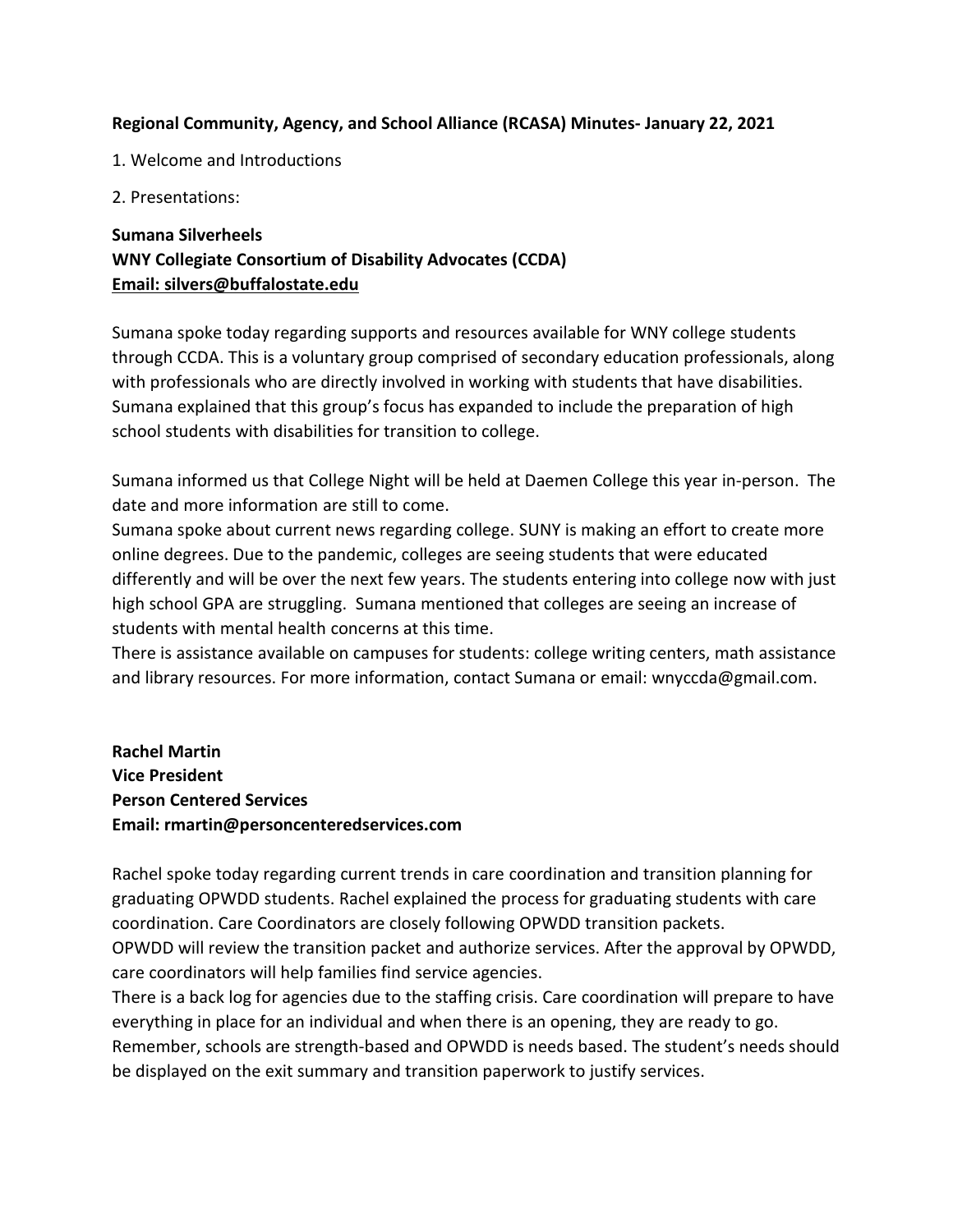## **Regional Community, Agency, and School Alliance (RCASA) Minutes- January 22, 2021**

- 1. Welcome and Introductions
- 2. Presentations:

## **Sumana Silverheels WNY Collegiate Consortium of Disability Advocates (CCDA) Email: [silvers@buffalostate.edu](mailto:silvers@buffalostate.edu)**

Sumana spoke today regarding supports and resources available for WNY college students through CCDA. This is a voluntary group comprised of secondary education professionals, along with professionals who are directly involved in working with students that have disabilities. Sumana explained that this group's focus has expanded to include the preparation of high school students with disabilities for transition to college.

Sumana informed us that College Night will be held at Daemen College this year in-person. The date and more information are still to come.

Sumana spoke about current news regarding college. SUNY is making an effort to create more online degrees. Due to the pandemic, colleges are seeing students that were educated differently and will be over the next few years. The students entering into college now with just high school GPA are struggling. Sumana mentioned that colleges are seeing an increase of students with mental health concerns at this time.

There is assistance available on campuses for students: college writing centers, math assistance and library resources. For more information, contact Sumana or email: wnyccda@gmail.com.

**Rachel Martin Vice President Person Centered Services Email: rmartin@personcenteredservices.com**

Rachel spoke today regarding current trends in care coordination and transition planning for graduating OPWDD students. Rachel explained the process for graduating students with care coordination. Care Coordinators are closely following OPWDD transition packets.

OPWDD will review the transition packet and authorize services. After the approval by OPWDD, care coordinators will help families find service agencies.

There is a back log for agencies due to the staffing crisis. Care coordination will prepare to have everything in place for an individual and when there is an opening, they are ready to go.

Remember, schools are strength-based and OPWDD is needs based. The student's needs should be displayed on the exit summary and transition paperwork to justify services.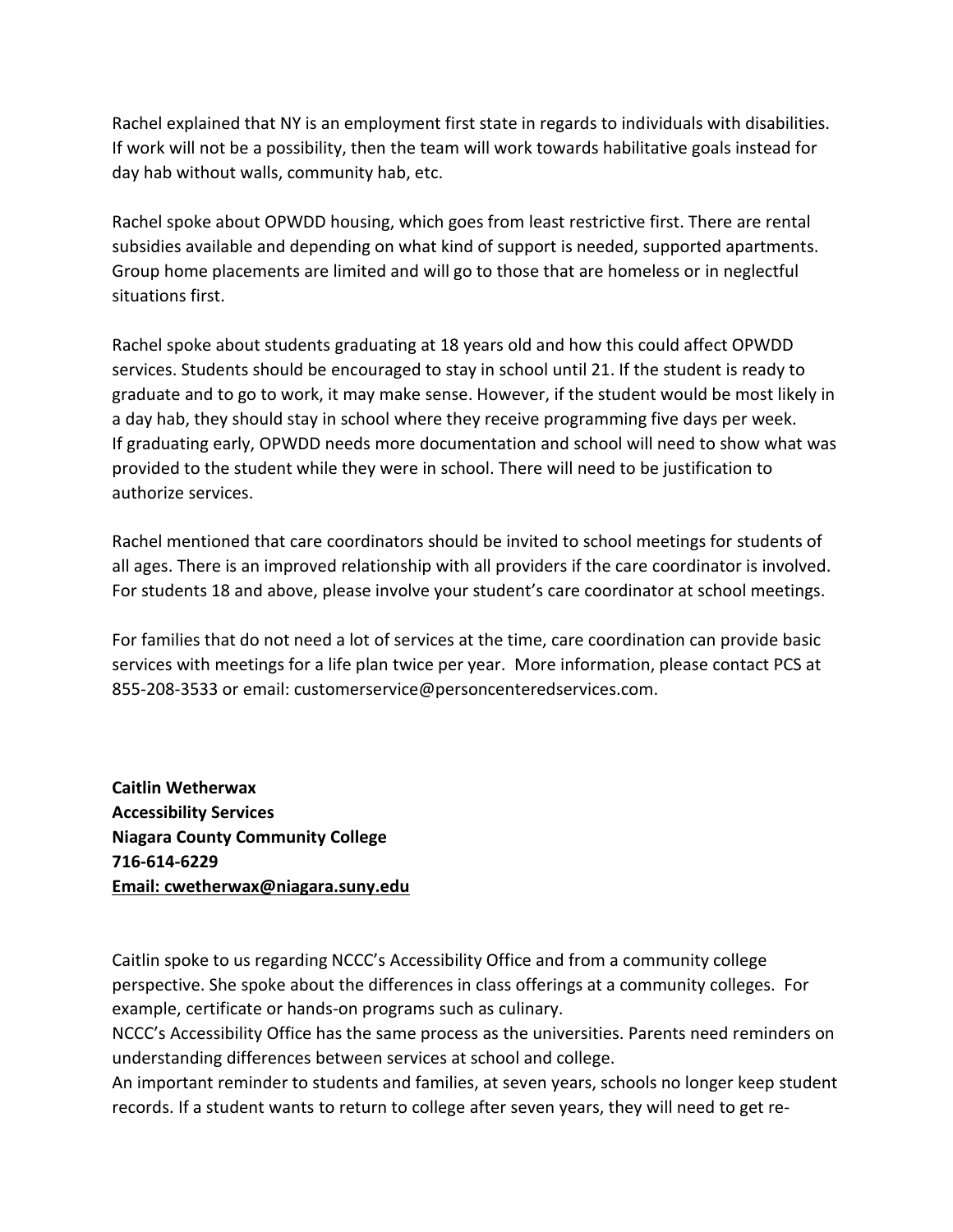Rachel explained that NY is an employment first state in regards to individuals with disabilities. If work will not be a possibility, then the team will work towards habilitative goals instead for day hab without walls, community hab, etc.

Rachel spoke about OPWDD housing, which goes from least restrictive first. There are rental subsidies available and depending on what kind of support is needed, supported apartments. Group home placements are limited and will go to those that are homeless or in neglectful situations first.

Rachel spoke about students graduating at 18 years old and how this could affect OPWDD services. Students should be encouraged to stay in school until 21. If the student is ready to graduate and to go to work, it may make sense. However, if the student would be most likely in a day hab, they should stay in school where they receive programming five days per week. If graduating early, OPWDD needs more documentation and school will need to show what was provided to the student while they were in school. There will need to be justification to authorize services.

Rachel mentioned that care coordinators should be invited to school meetings for students of all ages. There is an improved relationship with all providers if the care coordinator is involved. For students 18 and above, please involve your student's care coordinator at school meetings.

For families that do not need a lot of services at the time, care coordination can provide basic services with meetings for a life plan twice per year. More information, please contact PCS at 855-208-3533 or email: customerservice@personcenteredservices.com.

**Caitlin Wetherwax Accessibility Services Niagara County Community College 716-614-6229 Email: [cwetherwax@niagara.suny.edu](mailto:cwetherwax@niagara.suny.edu)**

Caitlin spoke to us regarding NCCC's Accessibility Office and from a community college perspective. She spoke about the differences in class offerings at a community colleges. For example, certificate or hands-on programs such as culinary.

NCCC's Accessibility Office has the same process as the universities. Parents need reminders on understanding differences between services at school and college.

An important reminder to students and families, at seven years, schools no longer keep student records. If a student wants to return to college after seven years, they will need to get re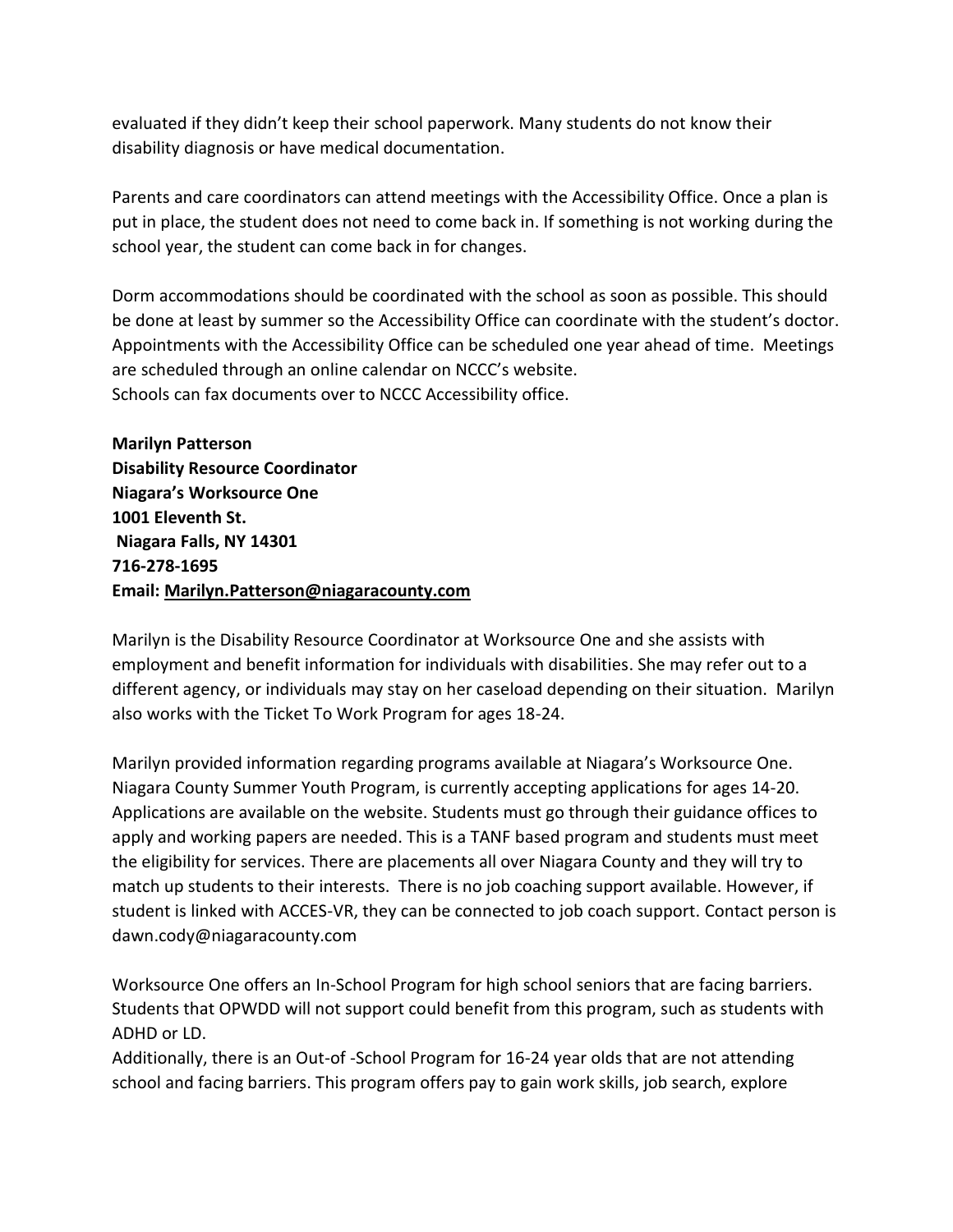evaluated if they didn't keep their school paperwork. Many students do not know their disability diagnosis or have medical documentation.

Parents and care coordinators can attend meetings with the Accessibility Office. Once a plan is put in place, the student does not need to come back in. If something is not working during the school year, the student can come back in for changes.

Dorm accommodations should be coordinated with the school as soon as possible. This should be done at least by summer so the Accessibility Office can coordinate with the student's doctor. Appointments with the Accessibility Office can be scheduled one year ahead of time. Meetings are scheduled through an online calendar on NCCC's website. Schools can fax documents over to NCCC Accessibility office.

**Marilyn Patterson Disability Resource Coordinator Niagara's Worksource One 1001 Eleventh St. Niagara Falls, NY 14301 716-278-1695 Email: [Marilyn.Patterson@niagaracounty.com](mailto:Marilyn.Patterson@niagaracounty.com)**

Marilyn is the Disability Resource Coordinator at Worksource One and she assists with employment and benefit information for individuals with disabilities. She may refer out to a different agency, or individuals may stay on her caseload depending on their situation. Marilyn also works with the Ticket To Work Program for ages 18-24.

Marilyn provided information regarding programs available at Niagara's Worksource One. Niagara County Summer Youth Program, is currently accepting applications for ages 14-20. Applications are available on the website. Students must go through their guidance offices to apply and working papers are needed. This is a TANF based program and students must meet the eligibility for services. There are placements all over Niagara County and they will try to match up students to their interests. There is no job coaching support available. However, if student is linked with ACCES-VR, they can be connected to job coach support. Contact person is dawn.cody@niagaracounty.com

Worksource One offers an In-School Program for high school seniors that are facing barriers. Students that OPWDD will not support could benefit from this program, such as students with ADHD or LD.

Additionally, there is an Out-of -School Program for 16-24 year olds that are not attending school and facing barriers. This program offers pay to gain work skills, job search, explore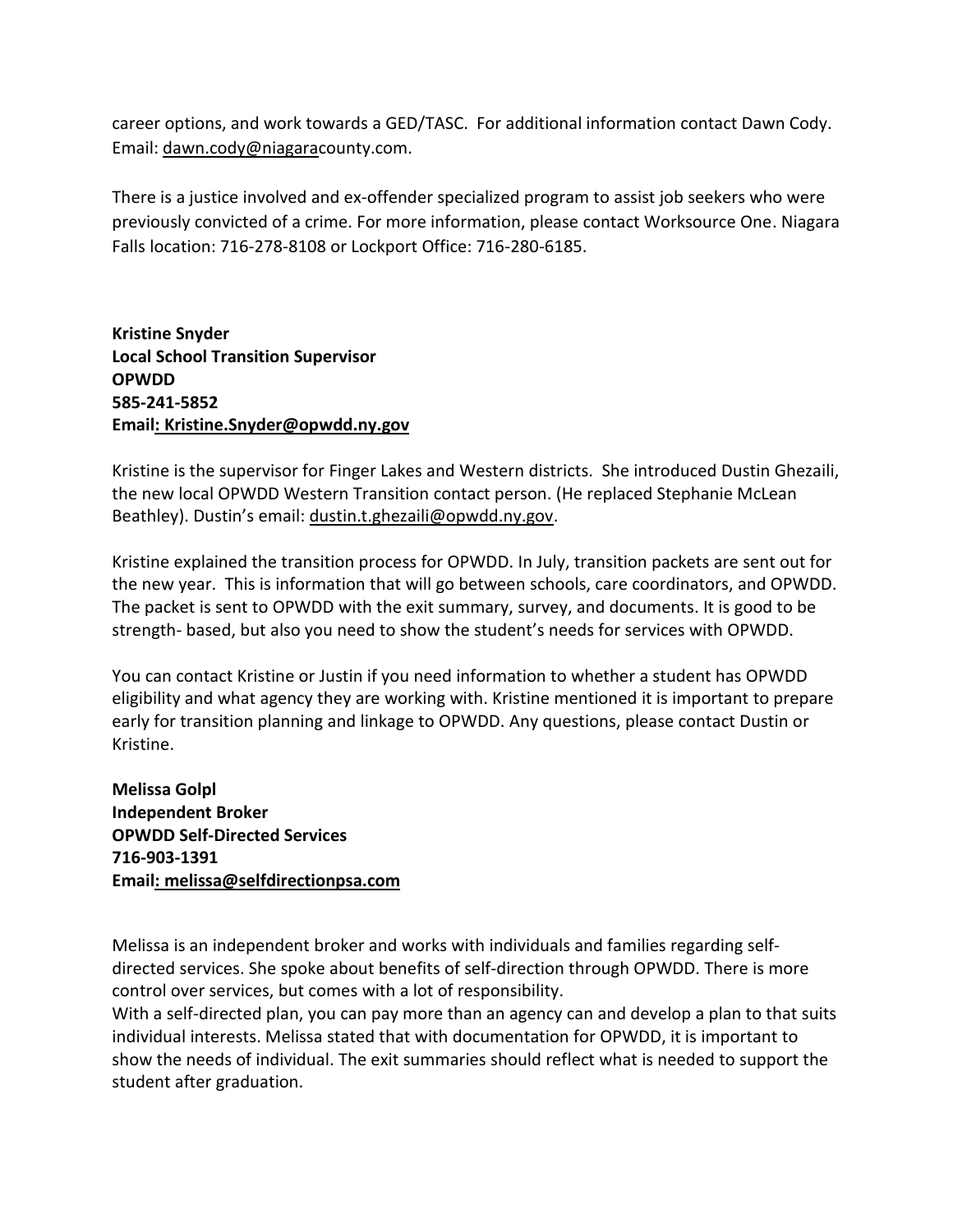career options, and work towards a GED/TASC. For additional information contact Dawn Cody. Email: [dawn.cody@niagarac](mailto:dawn.cody@niagara)ounty.com.

There is a justice involved and ex-offender specialized program to assist job seekers who were previously convicted of a crime. For more information, please contact Worksource One. Niagara Falls location: 716-278-8108 or Lockport Office: 716-280-6185.

**Kristine Snyder Local School Transition Supervisor OPWDD 585-241-5852 Email: [Kristine.Snyder@opwdd.ny.gov](mailto:Kristine.Snyder@opwdd.ny.gov)**

Kristine is the supervisor for Finger Lakes and Western districts. She introduced Dustin Ghezaili, the new local OPWDD Western Transition contact person. (He replaced Stephanie McLean Beathley). Dustin's email: [dustin.t.ghezaili@opwdd.ny.gov.](mailto:dustin.t.ghezaili@opwdd.ny.gov)

Kristine explained the transition process for OPWDD. In July, transition packets are sent out for the new year. This is information that will go between schools, care coordinators, and OPWDD. The packet is sent to OPWDD with the exit summary, survey, and documents. It is good to be strength- based, but also you need to show the student's needs for services with OPWDD.

You can contact Kristine or Justin if you need information to whether a student has OPWDD eligibility and what agency they are working with. Kristine mentioned it is important to prepare early for transition planning and linkage to OPWDD. Any questions, please contact Dustin or Kristine.

**Melissa Golpl Independent Broker OPWDD Self-Directed Services 716-903-1391 Email: melissa@selfdirectionpsa.com**

Melissa is an independent broker and works with individuals and families regarding selfdirected services. She spoke about benefits of self-direction through OPWDD. There is more control over services, but comes with a lot of responsibility.

With a self-directed plan, you can pay more than an agency can and develop a plan to that suits individual interests. Melissa stated that with documentation for OPWDD, it is important to show the needs of individual. The exit summaries should reflect what is needed to support the student after graduation.